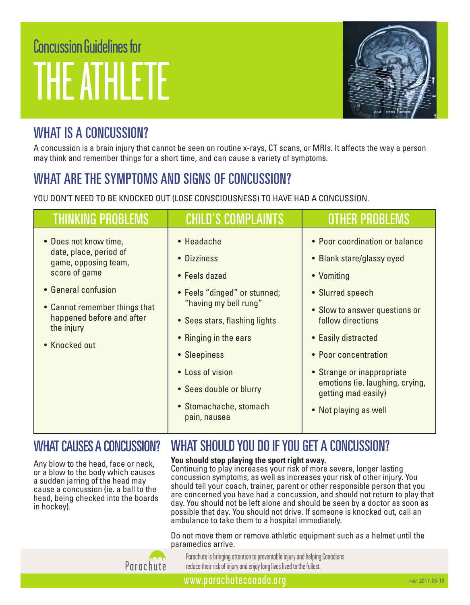# Concussion Guidelines for THE ATHLETE



## WHAT IS A CONCUSSION?

A concussion is a brain injury that cannot be seen on routine x-rays, CT scans, or MRIs. It affects the way a person may think and remember things for a short time, and can cause a variety of symptoms.

# WHAT ARE THE SYMPTOMS AND SIGNS OF CONCUSSION?

YOU DON'T NEED TO BE KNOCKED OUT (LOSE CONSCIOUSNESS) TO HAVE HAD A CONCUSSION.

| <b>THINKING PROBLEMS</b>                                                                                                                                                                                     | <b>CHILD'S COMPLAINTS</b>                                                                                                                                                                                                                                              | <b>OTHER PROBLEMS</b>                                                                                                                                                                                                                                                                                               |
|--------------------------------------------------------------------------------------------------------------------------------------------------------------------------------------------------------------|------------------------------------------------------------------------------------------------------------------------------------------------------------------------------------------------------------------------------------------------------------------------|---------------------------------------------------------------------------------------------------------------------------------------------------------------------------------------------------------------------------------------------------------------------------------------------------------------------|
| • Does not know time,<br>date, place, period of<br>game, opposing team,<br>score of game<br>• General confusion<br>• Cannot remember things that<br>happened before and after<br>the injury<br>• Knocked out | • Headache<br>• Dizziness<br>• Feels dazed<br>• Feels "dinged" or stunned;<br>"having my bell rung"<br>• Sees stars, flashing lights<br>• Ringing in the ears<br>• Sleepiness<br>• Loss of vision<br>• Sees double or blurry<br>• Stomachache, stomach<br>pain, nausea | • Poor coordination or balance<br>• Blank stare/glassy eyed<br>• Vomiting<br>• Slurred speech<br>• Slow to answer questions or<br>follow directions<br>• Easily distracted<br>• Poor concentration<br>• Strange or inappropriate<br>emotions (ie. laughing, crying,<br>getting mad easily)<br>• Not playing as well |

#### WHAT CAUSES A CONCUSSION?

Any blow to the head, face or neck, or a blow to the body which causes a sudden jarring of the head may cause a concussion (ie. a ball to the head, being checked into the boards in hockey).

#### **You should stop playing the sport right away.**

Continuing to play increases your risk of more severe, longer lasting concussion symptoms, as well as increases your risk of other injury. You should tell your coach, trainer, parent or other responsible person that you are concerned you have had a concussion, and should not return to play that day. You should not be left alone and should be seen by a doctor as soon as possible that day. You should not drive. If someone is knocked out, call an ambulance to take them to a hospital immediately.

WHAT SHOULD YOU DO IF YOU GET A CONCUSSION?

Do not move them or remove athletic equipment such as a helmet until the paramedics arrive.



Parachute is bringing attention to preventable injury and helping Canadians reduce their risk of injury and enjoy long lives lived to the fullest.

www.parachutecanada.org